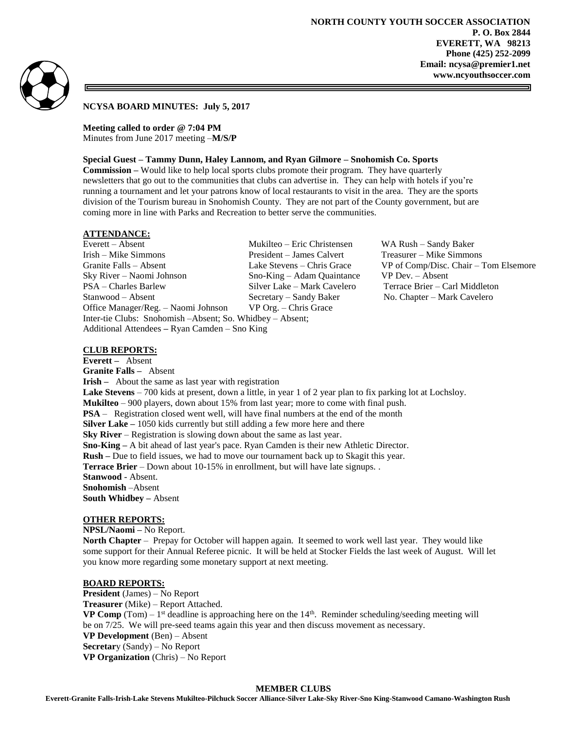

# **NCYSA BOARD MINUTES: July 5, 2017**

**Meeting called to order @ 7:04 PM** Minutes from June 2017 meeting –**M/S/P**

### **Special Guest – Tammy Dunn, Haley Lannom, and Ryan Gilmore – Snohomish Co. Sports**

**Commission –** Would like to help local sports clubs promote their program. They have quarterly newsletters that go out to the communities that clubs can advertise in. They can help with hotels if you're running a tournament and let your patrons know of local restaurants to visit in the area. They are the sports division of the Tourism bureau in Snohomish County. They are not part of the County government, but are coming more in line with Parks and Recreation to better serve the communities.

#### **ATTENDANCE:**

Everett – Absent Mukilteo – Eric Christensen WA Rush – Sandy Baker Irish – Mike Simmons President – James Calvert Treasurer – Mike Simmons Granite Falls – Absent Lake Stevens – Chris Grace VP of Comp/Disc. Chair – Tom Elsemore<br>Sky River – Naomi Johnson Sno-King – Adam Quaintance VP Dev. – Absent Sky River – Naomi Johnson Sno-King – Adam Quaintance PSA – Charles Barlew Silver Lake – Mark Cavelero Terrace Brier – Carl Middleton Stanwood – Absent Secretary – Sandy Baker No. Chapter – Mark Cavelero Office Manager/Reg. – Naomi Johnson VP Org. – Chris Grace Inter-tie Clubs: Snohomish –Absent; So. Whidbey – Absent; Additional Attendees **–** Ryan Camden – Sno King

## **CLUB REPORTS:**

**Everett –** Absent **Granite Falls –** Absent **Irish** – About the same as last year with registration **Lake Stevens** – 700 kids at present, down a little, in year 1 of 2 year plan to fix parking lot at Lochsloy. **Mukilteo** – 900 players, down about 15% from last year; more to come with final push. **PSA** – Registration closed went well, will have final numbers at the end of the month **Silver Lake –** 1050 kids currently but still adding a few more here and there **Sky River** – Registration is slowing down about the same as last year. **Sno-King –** A bit ahead of last year's pace. Ryan Camden is their new Athletic Director. **Rush –** Due to field issues, we had to move our tournament back up to Skagit this year. **Terrace Brier** – Down about 10-15% in enrollment, but will have late signups. **Stanwood** - Absent. **Snohomish** –Absent **South Whidbey –** Absent

### **OTHER REPORTS:**

**NPSL/Naomi –** No Report. **North Chapter** – Prepay for October will happen again. It seemed to work well last year. They would like some support for their Annual Referee picnic. It will be held at Stocker Fields the last week of August. Will let you know more regarding some monetary support at next meeting.

### **BOARD REPORTS:**

**President** (James) – No Report **Treasurer** (Mike) – Report Attached. **VP Comp** (Tom) –  $1<sup>st</sup>$  deadline is approaching here on the  $14<sup>th</sup>$ . Reminder scheduling/seeding meeting will be on 7/25. We will pre-seed teams again this year and then discuss movement as necessary. **VP Development** (Ben) – Absent **Secretar**y (Sandy) – No Report **VP Organization** (Chris) – No Report

### **MEMBER CLUBS**